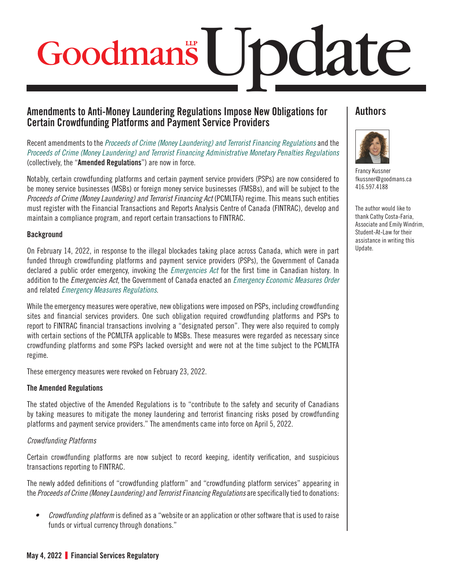# Update

# **Amendments to Anti-Money Laundering Regulations Impose New Obligations for Certain Crowdfunding Platforms and Payment Service Providers**

Recent amendments to the *[Proceeds of Crime \(Money Laundering\) and Terrorist Financing Regulations](https://lois-laws.justice.gc.ca/eng/regulations/SOR-2002-184/index.html)* and the *[Proceeds of Crime \(Money Laundering\) and Terrorist Financing Administrative Monetary Penalties Regulations](https://lois-laws.justice.gc.ca/eng/regulations/SOR-2007-292/FullText.html)* (collectively, the "**Amended Regulations**") are now in force.

Notably, certain crowdfunding platforms and certain payment service providers (PSPs) are now considered to be money service businesses (MSBs) or foreign money service businesses (FMSBs), and will be subject to the *Proceeds of Crime (Money Laundering) and Terrorist Financing Act* (PCMLTFA) regime. This means such entities must register with the Financial Transactions and Reports Analysis Centre of Canada (FINTRAC), develop and maintain a compliance program, and report certain transactions to FINTRAC.

### **Background**

On February 14, 2022, in response to the illegal blockades taking place across Canada, which were in part funded through crowdfunding platforms and payment service providers (PSPs), the Government of Canada declared a public order emergency, invoking the *[Emergencies Act](https://laws-lois.justice.gc.ca/eng/acts/e-4.5/page-1.html)* for the first time in Canadian history. In addition to the *Emergencies Act*, the Government of Canada enacted an *[Emergency Economic Measures Order](https://www.gazette.gc.ca/rp-pr/p2/2022/2022-02-15-x1/html/sor-dors22-eng.html)* and related *[Emergency Measures Regulations](https://www.gazette.gc.ca/rp-pr/p2/2022/2022-02-15-x1/html/sor-dors21-eng.html)*.

While the emergency measures were operative, new obligations were imposed on PSPs, including crowdfunding sites and financial services providers. One such obligation required crowdfunding platforms and PSPs to report to FINTRAC financial transactions involving a "designated person". They were also required to comply with certain sections of the PCMLTFA applicable to MSBs. These measures were regarded as necessary since crowdfunding platforms and some PSPs lacked oversight and were not at the time subject to the PCMLTFA regime.

These emergency measures were revoked on February 23, 2022.

### The Amended Regulations

The stated objective of the Amended Regulations is to "contribute to the safety and security of Canadians by taking measures to mitigate the money laundering and terrorist financing risks posed by crowdfunding platforms and payment service providers." The amendments came into force on April 5, 2022.

### *Crowdfunding Platforms*

Certain crowdfunding platforms are now subject to record keeping, identity verification, and suspicious transactions reporting to FINTRAC.

The newly added definitions of "crowdfunding platform" and "crowdfunding platform services" appearing in the *Proceeds of Crime (Money Laundering) and Terrorist Financing Regulations* are specifically tied to donations:

*• Crowdfunding platform* is defined as a "website or an application or other software that is used to raise funds or virtual currency through donations."

# **Authors**



[Francy Kussner](https://www.goodmans.ca/People/Francy_Kussner)  [fkussner@goodmans.ca](mailto:fkussner@goodmans.ca) 416.597.4188

The author would like to thank Cathy Costa-Faria, Associate and Emily Windrim, Student-At-Law for their assistance in writing this Update.